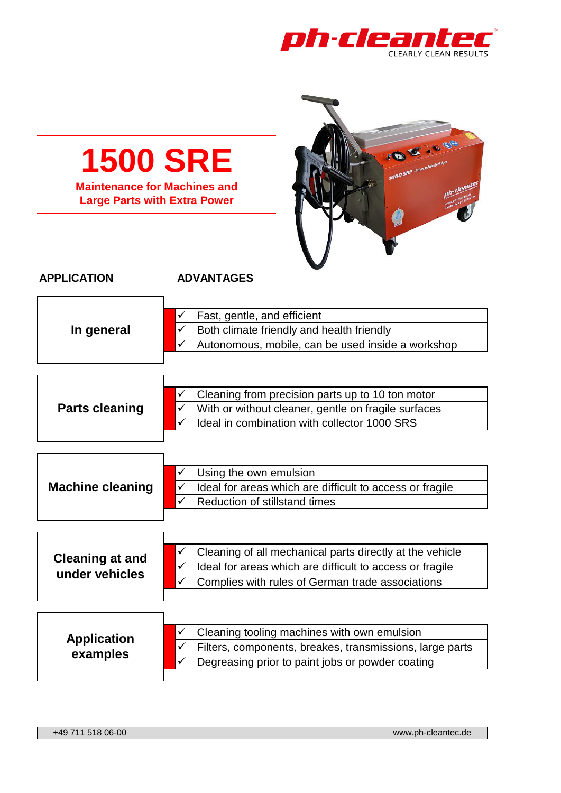

| <b>1500 SRE</b><br><b>1000 SRE</b> Univers<br><b>Maintenance for Machines and</b><br><b>Large Parts with Extra Power</b> |                                                                                                                                                                                                    |  |
|--------------------------------------------------------------------------------------------------------------------------|----------------------------------------------------------------------------------------------------------------------------------------------------------------------------------------------------|--|
| <b>APPLICATION</b>                                                                                                       | <b>ADVANTAGES</b>                                                                                                                                                                                  |  |
| In general                                                                                                               | Fast, gentle, and efficient<br>$\checkmark$<br>Both climate friendly and health friendly<br>✓<br>Autonomous, mobile, can be used inside a workshop                                                 |  |
| <b>Parts cleaning</b>                                                                                                    | Cleaning from precision parts up to 10 ton motor<br>✓<br>$\checkmark$ With or without cleaner, gentle on fragile surfaces<br>Ideal in combination with collector 1000 SRS<br>$\checkmark$          |  |
| <b>Machine cleaning</b>                                                                                                  | Using the own emulsion<br>✓<br>$\checkmark$<br>Ideal for areas which are difficult to access or fragile<br>✓<br><b>Reduction of stillstand times</b>                                               |  |
| <b>Cleaning at and</b><br>under vehicles                                                                                 | Cleaning of all mechanical parts directly at the vehicle<br>✓<br>Ideal for areas which are difficult to access or fragile<br>$\checkmark$<br>Complies with rules of German trade associations<br>✓ |  |
| <b>Application</b><br>examples                                                                                           | Cleaning tooling machines with own emulsion<br>✓<br>✓<br>Filters, components, breakes, transmissions, large parts<br>Degreasing prior to paint jobs or powder coating<br>✓                         |  |